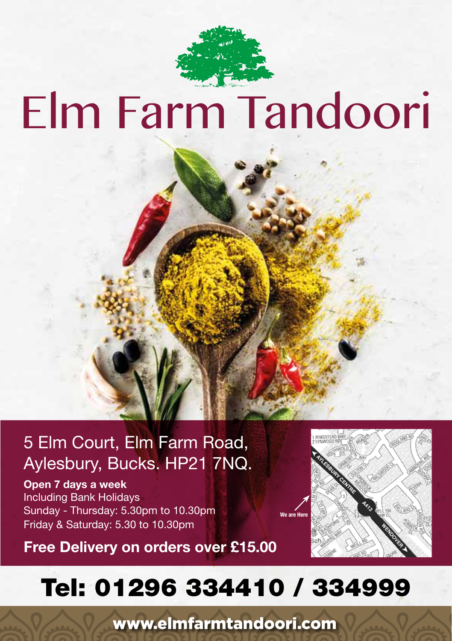

# Elm Farm Tandoori

## 5 Elm Court, Elm Farm Road, Aylesbury, Bucks. HP21 7NQ.

**Open 7 days a week** Including Bank Holidays Sunday - Thursday: 5.30pm to 10.30pm Friday & Saturday: 5.30 to 10.30pm





## Tel: 01296 334410 / 334999

www.elmfarmtandoori.com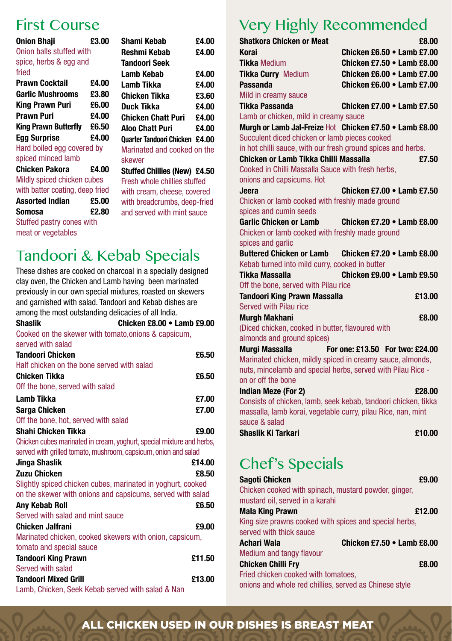### First Course

| <b>Onion Bhaji</b>              | £3.00 | Shami Kebab             |
|---------------------------------|-------|-------------------------|
| Onion balls stuffed with        |       | Reshmi Kebab            |
| spice, herbs & egg and          |       | <b>Tandoori Seek</b>    |
| fried                           |       | Lamb Kebab              |
| Prawn Cocktail                  | £4.00 | Lamb Tikka              |
| <b>Garlic Mushrooms</b>         | £3.80 | Chicken Tikka           |
| King Prawn Puri                 | £6.00 | Duck Tikka              |
| Prawn Puri                      | £4.00 | <b>Chicken Chatt</b>    |
| <b>King Prawn Butterfly</b>     | £6.50 | <b>Aloo Chatt Pur</b>   |
| <b>Egg Surprise</b>             | £4.00 | Quarter Tandoori        |
| Hard boiled egg covered by      |       | <b>Marinated and</b>    |
| spiced minced lamb              |       | skewer                  |
| Chicken Pakora                  | £4.00 | <b>Stuffed Chillies</b> |
| Mildly spiced chicken cubes     |       | Fresh whole chi         |
| with batter coating, deep fried |       | with cream, che         |
| <b>Assorted Indian</b>          | £5.00 | with breadcrum          |
| Somosa                          | £2.80 | and served with         |
| Stuffed pastry cones with       |       |                         |
| meat or vegetables              |       |                         |

#### **Shami Kebab £4.00 Reshmi Kebab £4.00 Lamb Kebab £4.00** £4.00  $6a = 23.60$ **E4.00**<br>**P4.00 Chicken Chatt Puri £4.00 Aloo Chatt Puri £4.00 Quarter Tandoori Chicken £4.00**

d cooked on the

**Stuffed Chillies (New) £4.50** hillies stuffed heese, covered mbs, deep-fried th mint sauce

## Tandoori & Kebab Specials

These dishes are cooked on charcoal in a specially designed clay oven, the Chicken and Lamb having been marinated previously in our own special mixtures, roasted on skewers and garnished with salad. Tandoori and Kebab dishes are among the most outstanding delicacies of all India. **Shaslik Chicken £8.00 • Lamb £9.00** Cooked on the skewer with tomato,onions & capsicum,

| served with salad                                                     |        |
|-----------------------------------------------------------------------|--------|
| <b>Tandoori Chicken</b>                                               | £6.50  |
| Half chicken on the bone served with salad                            |        |
| <b>Chicken Tikka</b>                                                  | £6.50  |
| Off the bone, served with salad                                       |        |
| Lamb Tikka                                                            | £7.00  |
| Sarga Chicken                                                         | £7.00  |
| Off the bone, hot, served with salad                                  |        |
| Shahi Chicken Tikka                                                   | £9.00  |
| Chicken cubes marinated in cream, yoghurt, special mixture and herbs, |        |
| served with grilled tomato, mushroom, capsicum, onion and salad       |        |
| Jinga Shaslik                                                         | £14.00 |
| <b>Zuzu Chicken</b>                                                   | £8.50  |
| Slightly spiced chicken cubes, marinated in yoghurt, cooked           |        |
| on the skewer with onions and capsicums, served with salad            |        |
| Any Kebab Roll                                                        | £6.50  |
| Served with salad and mint sauce                                      |        |
| <b>Chicken Jalfrani</b>                                               | £9.00  |
| Marinated chicken, cooked skewers with onion, capsicum,               |        |
| tomato and special sauce                                              |        |
| <b>Tandoori King Prawn</b>                                            | £11.50 |
| Served with salad                                                     |        |
| <b>Tandoori Mixed Grill</b>                                           | £13.00 |
| Lamb, Chicken, Seek Kebab served with salad & Nan                     |        |

## Very Highly Recommended

| Shatkora Chicken or Meat                                                         | £8.00                                                          |
|----------------------------------------------------------------------------------|----------------------------------------------------------------|
| Korai                                                                            | Chicken £6.50 $\bullet$ Lamb £7.00                             |
| <b>Tikka Medium</b>                                                              | Chicken £7.50 • Lamb £8.00                                     |
| <b>Tikka Curry Medium</b>                                                        | Chicken $£6.00 \cdot$ Lamb $£7.00$                             |
| Passanda                                                                         | Chicken $£6.00 \cdot$ Lamb $£7.00$                             |
| Mild in creamy sauce                                                             |                                                                |
| Tikka Passanda                                                                   | Chicken £7.00 $\bullet$ Lamb £7.50                             |
| Lamb or chicken, mild in creamy sauce                                            |                                                                |
|                                                                                  | Murgh or Lamb Jal-Freize Hot Chicken £7.50 . Lamb £8.00        |
| Succulent diced chicken or lamb pieces cooked                                    |                                                                |
| in hot chilli sauce, with our fresh ground spices and herbs.                     |                                                                |
| Chicken or Lamb Tikka Chilli Massalla                                            | £7.50                                                          |
| Cooked in Chilli Massalla Sauce with fresh herbs.                                |                                                                |
| onions and capsicums. Hot                                                        |                                                                |
| Jeera                                                                            | Chicken £7.00 • Lamb £7.50                                     |
| Chicken or lamb cooked with freshly made ground                                  |                                                                |
| spices and cumin seeds                                                           |                                                                |
| <b>Garlic Chicken or Lamb</b><br>Chicken or lamb cooked with freshly made ground | Chicken £7.20 • Lamb £8.00                                     |
| spices and garlic                                                                |                                                                |
|                                                                                  | Buttered Chicken or Lamb Chicken £7.20 • Lamb £8.00            |
| Kebab turned into mild curry, cooked in butter                                   |                                                                |
| Tikka Massalla                                                                   | Chicken £9.00 . Lamb £9.50                                     |
| Off the bone, served with Pilau rice                                             |                                                                |
| Tandoori King Prawn Massalla                                                     | £13.00                                                         |
| <b>Served with Pilau rice</b>                                                    |                                                                |
| Murgh Makhani                                                                    | £8.00                                                          |
| (Diced chicken, cooked in butter, flavoured with                                 |                                                                |
| almonds and ground spices)                                                       |                                                                |
| Murgi Massalla                                                                   | For one: £13.50 For two: £24.00                                |
| Marinated chicken, mildly spiced in creamy sauce, almonds,                       |                                                                |
| nuts, mincelamb and special herbs, served with Pilau Rice -                      |                                                                |
| on or off the bone                                                               |                                                                |
| <b>Indian Meze (For 2)</b>                                                       | £28.00                                                         |
|                                                                                  | Consists of chicken, lamb, seek kebab, tandoori chicken, tikka |
| massalla, lamb korai, vegetable curry, pilau Rice, nan, mint                     |                                                                |
| sauce & salad                                                                    |                                                                |
| Shaslik Ki Tarkari                                                               | £10.00                                                         |

## Chef's Specials

| Sagoti Chicken                                         | £9.00                      |
|--------------------------------------------------------|----------------------------|
| Chicken cooked with spinach, mustard powder, ginger,   |                            |
| mustard oil, served in a karahi                        |                            |
| Mala King Prawn                                        | £12.00                     |
| King size prawns cooked with spices and special herbs, |                            |
| served with thick sauce                                |                            |
| Achari Wala                                            | Chicken £7.50 • Lamb £8.00 |
| Medium and tangy flavour                               |                            |
| Chicken Chilli Fry                                     | £8.00                      |
| Fried chicken cooked with tomatoes,                    |                            |
| onions and whole red chillies, served as Chinese style |                            |

#### ALL CHICKEN USED IN OUR DISHES IS BREAST MEAT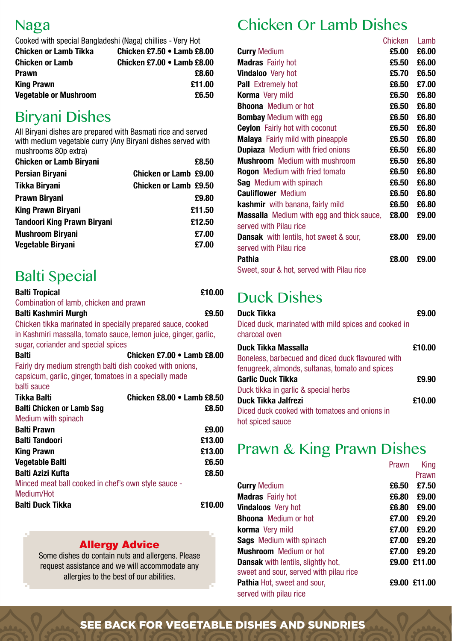#### Naga

Cooked with special Bangladeshi (Naga) chillies - Very Hot

| <b>Chicken or Lamb Tikka</b> | Chicken £7.50 • Lamb £8.00        |
|------------------------------|-----------------------------------|
| <b>Chicken or Lamb</b>       | <b>Chicken £7.00 • Lamb £8.00</b> |
| Prawn                        | £8.60                             |
| King Prawn                   | £11.00                            |
| <b>Vegetable or Mushroom</b> | £6.50                             |
|                              |                                   |

## Biryani Dishes

All Biryani dishes are prepared with Basmati rice and served with medium vegetable curry (Any Biryani dishes served with mushrooms 80p extra)

| <b>Chicken or Lamb Biryani</b>     | £8.50                 |
|------------------------------------|-----------------------|
| Persian Biryani                    | Chicken or Lamb £9.00 |
| Tikka Biryani                      | Chicken or Lamb £9.50 |
| Prawn Biryani                      | £9.80                 |
| <b>King Prawn Biryani</b>          | £11.50                |
| <b>Tandoori King Prawn Biryani</b> | £12.50                |
| <b>Mushroom Biryani</b>            | £7.00                 |
| Vegetable Biryani                  | £7.00                 |

## Balti Special

| Balti Tropical                                                   | £10.00 |
|------------------------------------------------------------------|--------|
| Combination of lamb, chicken and prawn                           |        |
| Balti Kashmiri Murgh                                             | £9.50  |
| Chicken tikka marinated in specially prepared sauce, cooked      |        |
| in Kashmiri massalla, tomato sauce, lemon juice, ginger, garlic, |        |
| sugar, coriander and special spices                              |        |
| Chicken £7.00 • Lamb £8.00<br>Balti                              |        |
| Fairly dry medium strength balti dish cooked with onions,        |        |
| capsicum, garlic, ginger, tomatoes in a specially made           |        |
| balti sauce                                                      |        |
| Tikka Balti<br>Chicken £8.00 $\bullet$ Lamb £8.50                |        |
| <b>Balti Chicken or Lamb Sag</b>                                 | £8.50  |
| Medium with spinach                                              |        |
| <b>Balti Prawn</b>                                               | £9.00  |
| <b>Balti Tandoori</b>                                            | £13.00 |
| <b>King Prawn</b>                                                | £13.00 |
| Vegetable Balti                                                  | £6.50  |
| Balti Azizi Kufta                                                | £8.50  |
| Minced meat ball cooked in chef's own style sauce -              |        |
| Medium/Hot                                                       |        |
| <b>Balti Duck Tikka</b>                                          | £10.00 |
|                                                                  |        |

#### **Allergy Advice**

Some dishes do contain nuts and allergens. Please request assistance and we will accommodate any allergies to the best of our abilities.

## Chicken Or Lamb Dishes

|                                                  | Chicken | I amb |
|--------------------------------------------------|---------|-------|
| <b>Curry Medium</b>                              | £5.00   | £6.00 |
| <b>Madras</b> Fairly hot                         | £5.50   | £6.00 |
| <b>Vindaloo</b> Very hot                         | £5.70   | £6.50 |
| <b>Pall</b> Extremely hot                        | £6.50   | £7.00 |
| <b>Korma</b> Very mild                           | £6.50   | £6.80 |
| <b>Bhoona</b> Medium or hot                      | £6.50   | £6.80 |
| <b>Bombay Medium with egg</b>                    | £6.50   | £6.80 |
| <b>Ceylon</b> Fairly hot with coconut            | £6.50   | £6.80 |
| <b>Malaya</b> Fairly mild with pineapple         | £6.50   | £6.80 |
| <b>Dupiaza</b> Medium with fried onions          | £6.50   | £6.80 |
| <b>Mushroom</b> Medium with mushroom             | £6.50   | £6.80 |
| <b>Rogon</b> Medium with fried tomato            | £6.50   | £6.80 |
| <b>Sag</b> Medium with spinach                   | £6.50   | £6.80 |
| <b>Cauliflower</b> Medium                        | £6.50   | £6.80 |
| <b>kashmir</b> with banana, fairly mild          | £6.50   | £6.80 |
| <b>Massalla</b> Medium with egg and thick sauce, | £8.00   | £9.00 |
| served with Pilau rice                           |         |       |
| <b>Dansak</b> with lentils, hot sweet & sour,    | £8.00   | £9.00 |
| served with Pilau rice                           |         |       |
| Pathia                                           | £8.00   | £9.00 |
| Sweet, sour & hot, served with Pilau rice        |         |       |

## Duck Dishes

| Duck Tikka<br>Diced duck, marinated with mild spices and cooked in<br>charcoal oven | £9.00  |
|-------------------------------------------------------------------------------------|--------|
| Duck Tikka Massalla                                                                 | £10.00 |
| Boneless, barbecued and diced duck flavoured with                                   |        |
| fenugreek, almonds, sultanas, tomato and spices                                     |        |
| Garlic Duck Tikka                                                                   | £9.90  |
| Duck tikka in garlic & special herbs                                                |        |
| Duck Tikka Jalfrezi                                                                 | £10.00 |
| Diced duck cooked with tomatoes and onions in<br>hot spiced sauce                   |        |

## Prawn & King Prawn Dishes

|                                           | Prawn | King         |
|-------------------------------------------|-------|--------------|
|                                           |       | Prawn        |
| <b>Curry Medium</b>                       | £6.50 | £7.50        |
| <b>Madras</b> Fairly hot                  | £6.80 | £9.00        |
| <b>Vindaloos</b> Very hot                 | £6.80 | £9.00        |
| <b>Bhoona</b> Medium or hot               | £7.00 | £9.20        |
| <b>korma</b> Very mild                    | £7.00 | £9.20        |
| <b>Sags</b> Medium with spinach           | £7.00 | £9.20        |
| <b>Mushroom</b> Medium or hot             | £7.00 | £9.20        |
| <b>Dansak</b> with lentils, slightly hot, |       | £9.00 £11.00 |
| sweet and sour, served with pilau rice    |       |              |
| <b>Pathia</b> Hot, sweet and sour,        |       | £9.00 £11.00 |
| served with pilau rice                    |       |              |

#### SEE BACK FOR VEGETABLE DISHES AND SUNDRIES